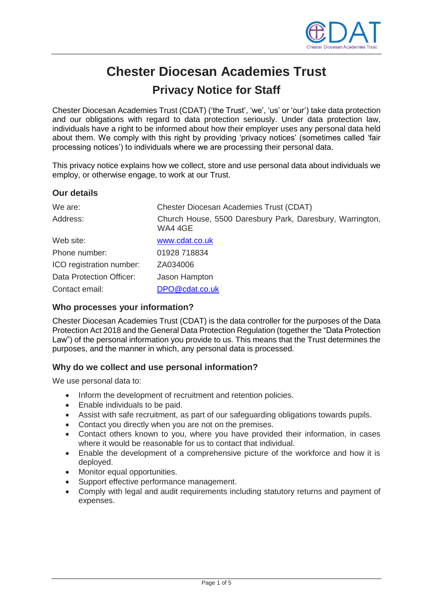

# **Chester Diocesan Academies Trust Privacy Notice for Staff**

Chester Diocesan Academies Trust (CDAT) ('the Trust', 'we', 'us' or 'our') take data protection and our obligations with regard to data protection seriously. Under data protection law, individuals have a right to be informed about how their employer uses any personal data held about them. We comply with this right by providing 'privacy notices' (sometimes called 'fair processing notices') to individuals where we are processing their personal data.

This privacy notice explains how we collect, store and use personal data about individuals we employ, or otherwise engage, to work at our Trust.

### **Our details** We are: Chester Diocesan Academies Trust (CDAT) Address: Church House, 5500 Daresbury Park, Daresbury, Warrington, WA4 4GE Web site: [www.cdat.co.uk](http://www.cdat.co.uk/) Phone number: 01928 718834 ICO registration number: ZA034006 Data Protection Officer: Jason Hampton

#### **Who processes your information?**

Contact email: [DPO@cdat.co.uk](mailto:DPO@cdat.co.uk)

Chester Diocesan Academies Trust (CDAT) is the data controller for the purposes of the Data Protection Act 2018 and the General Data Protection Regulation (together the "Data Protection Law") of the personal information you provide to us. This means that the Trust determines the purposes, and the manner in which, any personal data is processed.

#### **Why do we collect and use personal information?**

We use personal data to:

- Inform the development of recruitment and retention policies.
- Enable individuals to be paid.
- Assist with safe recruitment, as part of our safeguarding obligations towards pupils.
- Contact you directly when you are not on the premises.
- Contact others known to you, where you have provided their information, in cases where it would be reasonable for us to contact that individual.
- Enable the development of a comprehensive picture of the workforce and how it is deployed.
- Monitor equal opportunities.
- Support effective performance management.
- Comply with legal and audit requirements including statutory returns and payment of expenses.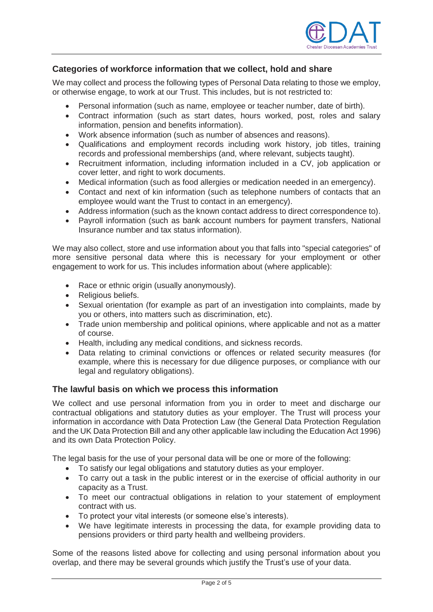

#### **Categories of workforce information that we collect, hold and share**

We may collect and process the following types of Personal Data relating to those we employ, or otherwise engage, to work at our Trust. This includes, but is not restricted to:

- Personal information (such as name, employee or teacher number, date of birth).
- Contract information (such as start dates, hours worked, post, roles and salary information, pension and benefits information).
- Work absence information (such as number of absences and reasons).
- Qualifications and employment records including work history, job titles, training records and professional memberships (and, where relevant, subjects taught).
- Recruitment information, including information included in a CV, job application or cover letter, and right to work documents.
- Medical information (such as food allergies or medication needed in an emergency).
- Contact and next of kin information (such as telephone numbers of contacts that an employee would want the Trust to contact in an emergency).
- Address information (such as the known contact address to direct correspondence to).
- Payroll information (such as bank account numbers for payment transfers, National Insurance number and tax status information).

We may also collect, store and use information about you that falls into "special categories" of more sensitive personal data where this is necessary for your employment or other engagement to work for us. This includes information about (where applicable):

- Race or ethnic origin (usually anonymously).
- Religious beliefs.
- Sexual orientation (for example as part of an investigation into complaints, made by you or others, into matters such as discrimination, etc).
- Trade union membership and political opinions, where applicable and not as a matter of course.
- Health, including any medical conditions, and sickness records.
- Data relating to criminal convictions or offences or related security measures (for example, where this is necessary for due diligence purposes, or compliance with our legal and regulatory obligations).

#### **The lawful basis on which we process this information**

We collect and use personal information from you in order to meet and discharge our contractual obligations and statutory duties as your employer. The Trust will process your information in accordance with Data Protection Law (the General Data Protection Regulation and the UK Data Protection Bill and any other applicable law including the Education Act 1996) and its own Data Protection Policy.

The legal basis for the use of your personal data will be one or more of the following:

- To satisfy our legal obligations and statutory duties as your employer.
- To carry out a task in the public interest or in the exercise of official authority in our capacity as a Trust.
- To meet our contractual obligations in relation to your statement of employment contract with us.
- To protect your vital interests (or someone else's interests).
- We have legitimate interests in processing the data, for example providing data to pensions providers or third party health and wellbeing providers.

Some of the reasons listed above for collecting and using personal information about you overlap, and there may be several grounds which justify the Trust's use of your data.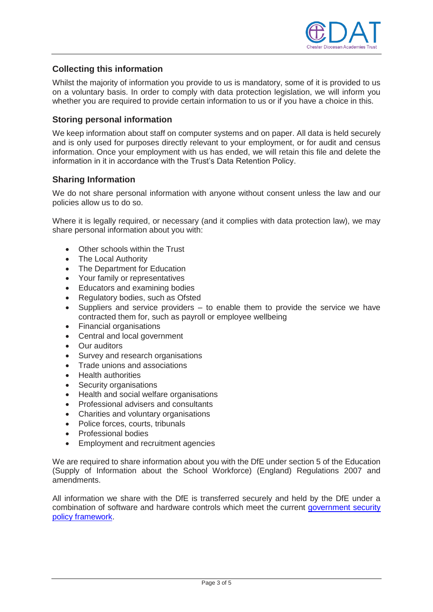

#### **Collecting this information**

Whilst the majority of information you provide to us is mandatory, some of it is provided to us on a voluntary basis. In order to comply with data protection legislation, we will inform you whether you are required to provide certain information to us or if you have a choice in this.

#### **Storing personal information**

We keep information about staff on computer systems and on paper. All data is held securely and is only used for purposes directly relevant to your employment, or for audit and census information. Once your employment with us has ended, we will retain this file and delete the information in it in accordance with the Trust's Data Retention Policy.

#### **Sharing Information**

We do not share personal information with anyone without consent unless the law and our policies allow us to do so.

Where it is legally required, or necessary (and it complies with data protection law), we may share personal information about you with:

- Other schools within the Trust
- The Local Authority
- The Department for Education
- Your family or representatives
- Educators and examining bodies
- Regulatory bodies, such as Ofsted
- Suppliers and service providers to enable them to provide the service we have contracted them for, such as payroll or employee wellbeing
- Financial organisations
- Central and local government
- Our auditors
- Survey and research organisations
- Trade unions and associations
- Health authorities
- Security organisations
- Health and social welfare organisations
- Professional advisers and consultants
- Charities and voluntary organisations
- Police forces, courts, tribunals
- Professional bodies
- Employment and recruitment agencies

We are required to share information about you with the DfE under section 5 of the Education (Supply of Information about the School Workforce) (England) Regulations 2007 and amendments.

All information we share with the DfE is transferred securely and held by the DfE under a combination of software and hardware controls which meet the current [government security](https://www.gov.uk/government/publications/security-policy-framework)  [policy framework.](https://www.gov.uk/government/publications/security-policy-framework)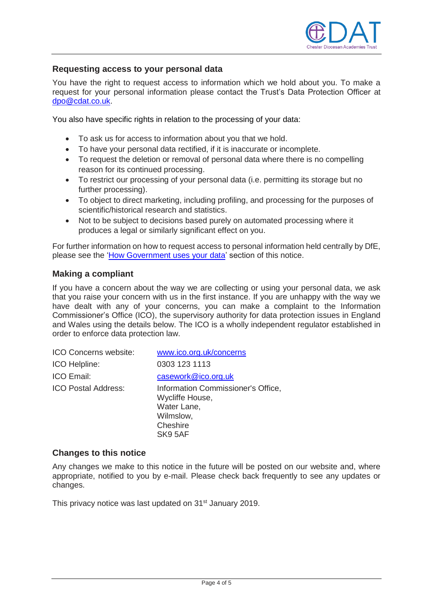

#### **Requesting access to your personal data**

You have the right to request access to information which we hold about you. To make a request for your personal information please contact the Trust's Data Protection Officer at [dpo@cdat.co.uk.](mailto:dpo@cdat.co.uk)

You also have specific rights in relation to the processing of your data:

- To ask us for access to information about you that we hold.
- To have your personal data rectified, if it is inaccurate or incomplete.
- To request the deletion or removal of personal data where there is no compelling reason for its continued processing.
- To restrict our processing of your personal data (i.e. permitting its storage but no further processing).
- To object to direct marketing, including profiling, and processing for the purposes of scientific/historical research and statistics.
- Not to be subject to decisions based purely on automated processing where it produces a legal or similarly significant effect on you.

For further information on how to request access to personal information held centrally by DfE, please see the ['How Government uses your data'](#page-4-0) section of this notice.

#### **Making a compliant**

If you have a concern about the way we are collecting or using your personal data, we ask that you raise your concern with us in the first instance. If you are unhappy with the way we have dealt with any of your concerns, you can make a complaint to the Information Commissioner's Office (ICO), the supervisory authority for data protection issues in England and Wales using the details below. The ICO is a wholly independent regulator established in order to enforce data protection law.

| ICO Concerns website:      | www.ico.org.uk/concerns                                                                                  |
|----------------------------|----------------------------------------------------------------------------------------------------------|
| ICO Helpline:              | 0303 123 1113                                                                                            |
| <b>ICO Email:</b>          | casework@ico.org.uk                                                                                      |
| <b>ICO Postal Address:</b> | Information Commissioner's Office,<br>Wycliffe House,<br>Water Lane,<br>Wilmslow,<br>Cheshire<br>SK9 5AF |

#### **Changes to this notice**

Any changes we make to this notice in the future will be posted on our website and, where appropriate, notified to you by e-mail. Please check back frequently to see any updates or changes.

This privacy notice was last updated on 31<sup>st</sup> January 2019.